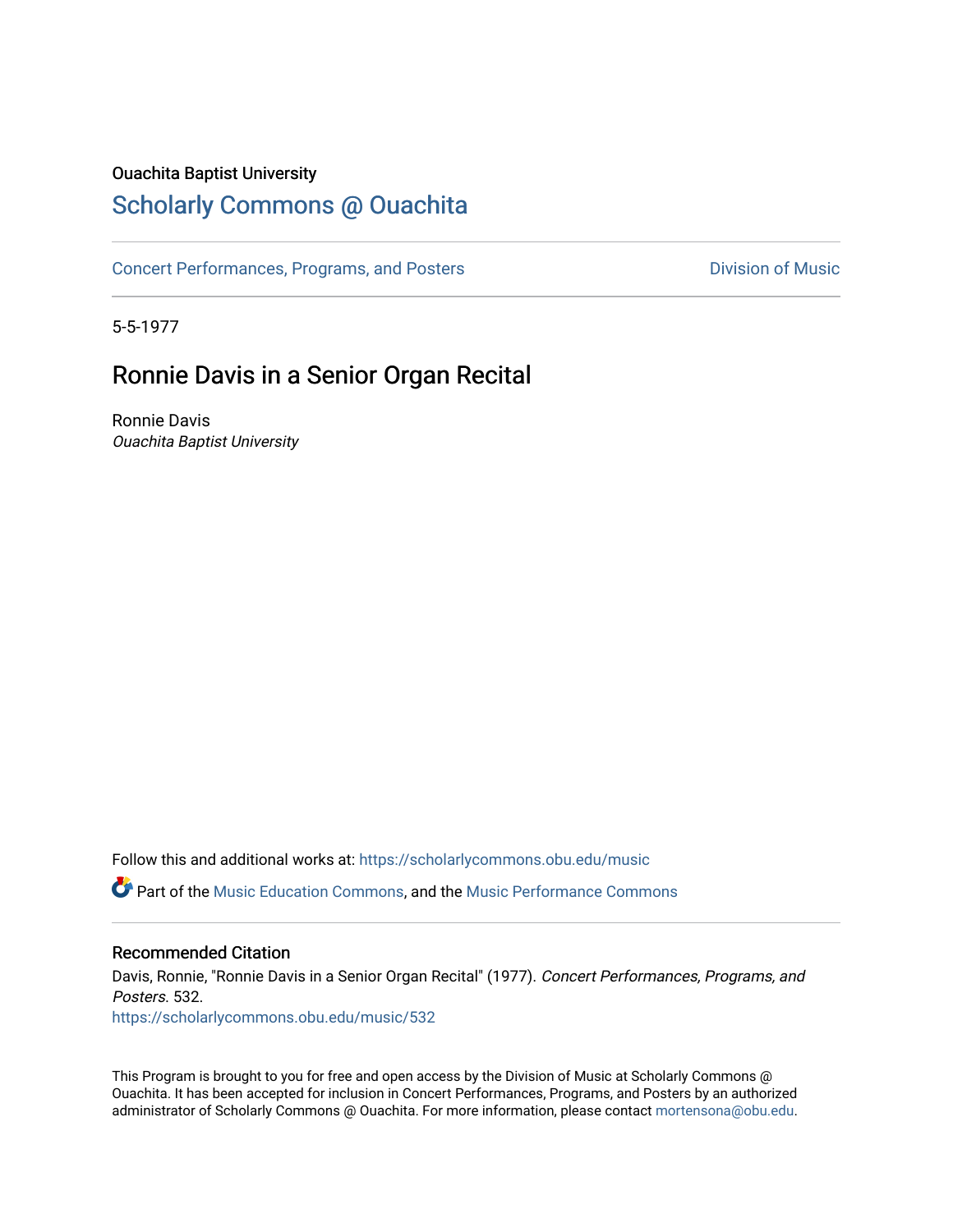### Ouachita Baptist University

## [Scholarly Commons @ Ouachita](https://scholarlycommons.obu.edu/)

[Concert Performances, Programs, and Posters](https://scholarlycommons.obu.edu/music) **Division of Music** Division of Music

5-5-1977

## Ronnie Davis in a Senior Organ Recital

Ronnie Davis Ouachita Baptist University

Follow this and additional works at: [https://scholarlycommons.obu.edu/music](https://scholarlycommons.obu.edu/music?utm_source=scholarlycommons.obu.edu%2Fmusic%2F532&utm_medium=PDF&utm_campaign=PDFCoverPages)  **C** Part of the [Music Education Commons,](http://network.bepress.com/hgg/discipline/1246?utm_source=scholarlycommons.obu.edu%2Fmusic%2F532&utm_medium=PDF&utm_campaign=PDFCoverPages) and the Music Performance Commons

#### Recommended Citation

Davis, Ronnie, "Ronnie Davis in a Senior Organ Recital" (1977). Concert Performances, Programs, and Posters. 532. [https://scholarlycommons.obu.edu/music/532](https://scholarlycommons.obu.edu/music/532?utm_source=scholarlycommons.obu.edu%2Fmusic%2F532&utm_medium=PDF&utm_campaign=PDFCoverPages) 

This Program is brought to you for free and open access by the Division of Music at Scholarly Commons @ Ouachita. It has been accepted for inclusion in Concert Performances, Programs, and Posters by an authorized administrator of Scholarly Commons @ Ouachita. For more information, please contact [mortensona@obu.edu](mailto:mortensona@obu.edu).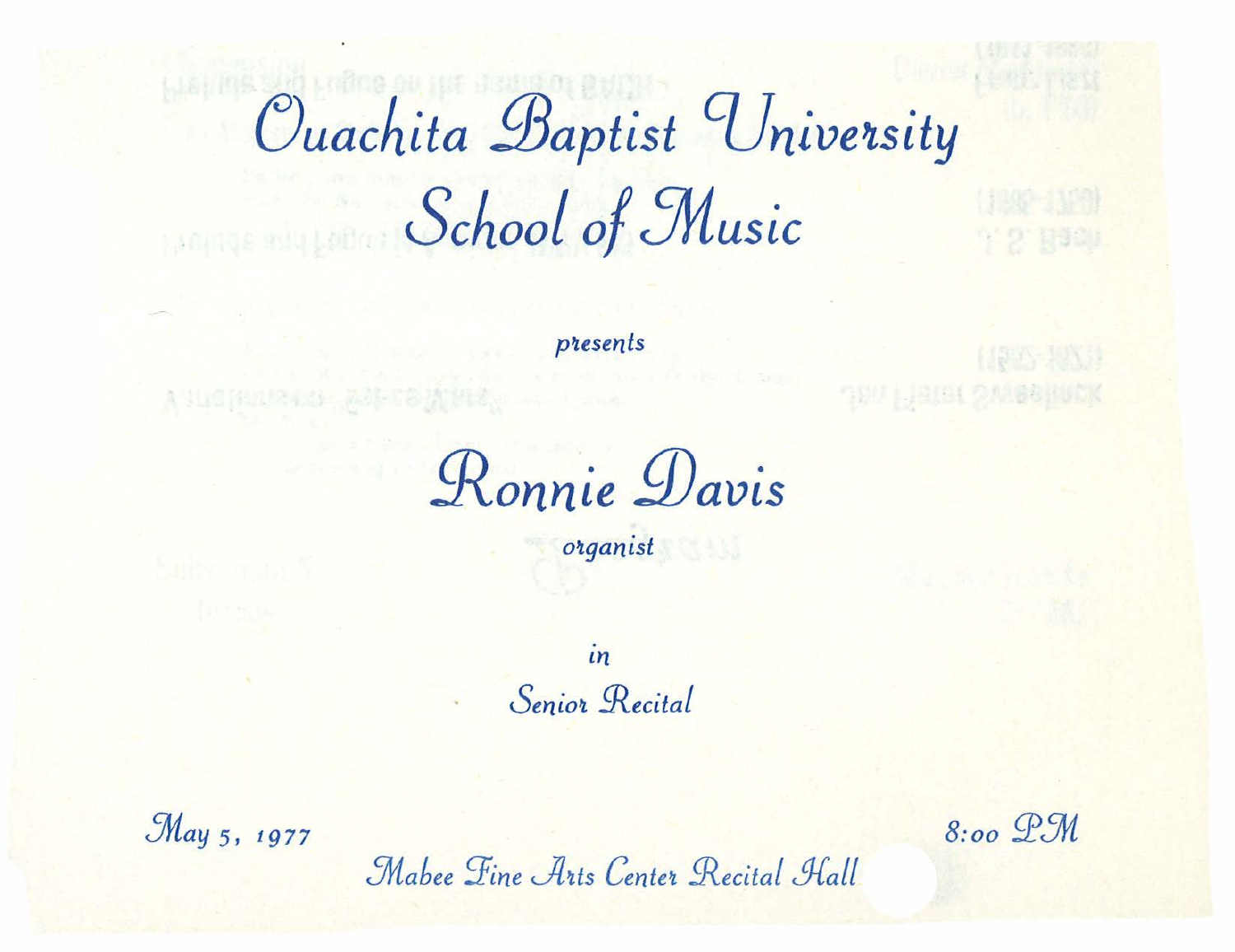# Ouachita Baptist University School of Music

presents

Ronnie Davis

organist

 $in$ Senior Recital

May 5, 1977

 $8:00$  P.M

Mabee Fine Arts Center Recital Hall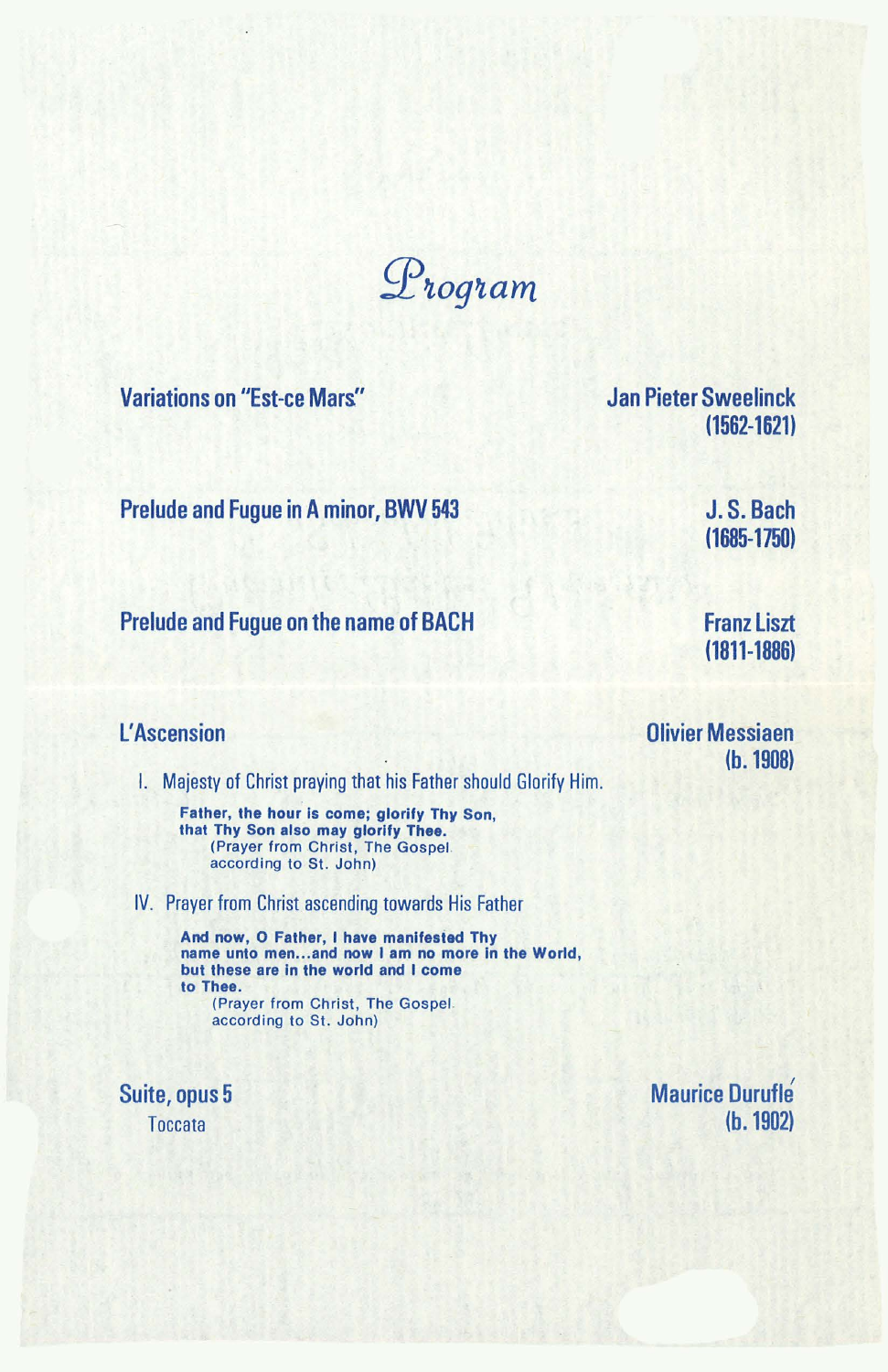$\mathcal{D}$ rogram

Variations on "Est-ce Mars.''

Jan Pieter Sweelinck (1562-1621)

Prelude and Fugue in A minor, BWV 543

J. S. Bach (1685-1750)

Prelude and Fugue on the name of BACH

Franz Liszt (1811-1886)

(b. 1908)

Olivier Messiaen

#### L' Ascension

I. Majesty of Christ praying that his Father should Glorify Him.

Father, the hour is come; glorify Thy Son, that Thy Son also may glorify Thee. (Prayer from Christ, The Gospel. according to St. John)

IV. Prayer from Christ ascending towards His Father

And now, 0 Father, I have manifested Thy name unto men...and now I am no more in the World, but these are in the world and I come to Thee. (Prayer from Christ, The Gospel. according to St. John)

Suite, opus 5 **Toccata** 

Maurice Durufle (b. 1902)